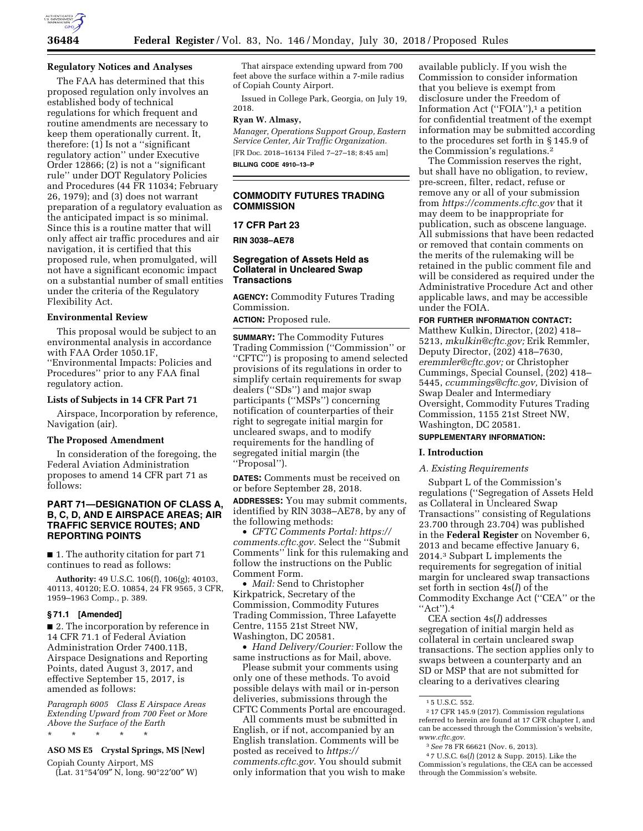

### **Regulatory Notices and Analyses**

The FAA has determined that this proposed regulation only involves an established body of technical regulations for which frequent and routine amendments are necessary to keep them operationally current. It, therefore: (1) Is not a ''significant regulatory action'' under Executive Order 12866; (2) is not a ''significant rule'' under DOT Regulatory Policies and Procedures (44 FR 11034; February 26, 1979); and (3) does not warrant preparation of a regulatory evaluation as the anticipated impact is so minimal. Since this is a routine matter that will only affect air traffic procedures and air navigation, it is certified that this proposed rule, when promulgated, will not have a significant economic impact on a substantial number of small entities under the criteria of the Regulatory Flexibility Act.

### **Environmental Review**

This proposal would be subject to an environmental analysis in accordance with FAA Order 1050.1F, ''Environmental Impacts: Policies and Procedures'' prior to any FAA final regulatory action.

#### **Lists of Subjects in 14 CFR Part 71**

Airspace, Incorporation by reference, Navigation (air).

## **The Proposed Amendment**

In consideration of the foregoing, the Federal Aviation Administration proposes to amend 14 CFR part 71 as follows:

### **PART 71—DESIGNATION OF CLASS A, B, C, D, AND E AIRSPACE AREAS; AIR TRAFFIC SERVICE ROUTES; AND REPORTING POINTS**

■ 1. The authority citation for part 71 continues to read as follows:

**Authority:** 49 U.S.C. 106(f), 106(g); 40103, 40113, 40120; E.O. 10854, 24 FR 9565, 3 CFR, 1959–1963 Comp., p. 389.

#### **§ 71.1 [Amended]**

■ 2. The incorporation by reference in 14 CFR 71.1 of Federal Aviation Administration Order 7400.11B, Airspace Designations and Reporting Points, dated August 3, 2017, and effective September 15, 2017, is amended as follows:

*Paragraph 6005 Class E Airspace Areas Extending Upward from 700 Feet or More Above the Surface of the Earth* 

#### \* \* \* \* \*

# **ASO MS E5 Crystal Springs, MS [New]**

Copiah County Airport, MS  $(Lat. 31°54'09'' N, long. 90°22'00'' W)$ 

That airspace extending upward from 700 feet above the surface within a 7-mile radius of Copiah County Airport.

Issued in College Park, Georgia, on July 19, 2018.

## **Ryan W. Almasy,**

*Manager, Operations Support Group, Eastern Service Center, Air Traffic Organization.*  [FR Doc. 2018–16134 Filed 7–27–18; 8:45 am] **BILLING CODE 4910–13–P** 

### **COMMODITY FUTURES TRADING COMMISSION**

### **17 CFR Part 23**

**RIN 3038–AE78** 

### **Segregation of Assets Held as Collateral in Uncleared Swap Transactions**

**AGENCY:** Commodity Futures Trading Commission.

**ACTION:** Proposed rule.

**SUMMARY:** The Commodity Futures Trading Commission (''Commission'' or "CFTC") is proposing to amend selected provisions of its regulations in order to simplify certain requirements for swap dealers (''SDs'') and major swap participants (''MSPs'') concerning notification of counterparties of their right to segregate initial margin for uncleared swaps, and to modify requirements for the handling of segregated initial margin (the ''Proposal'').

**DATES:** Comments must be received on or before September 28, 2018.

**ADDRESSES:** You may submit comments, identified by RIN 3038–AE78, by any of the following methods:

• *CFTC Comments Portal: [https://](https://comments.cftc.gov) [comments.cftc.gov.](https://comments.cftc.gov)* Select the ''Submit Comments'' link for this rulemaking and follow the instructions on the Public Comment Form.

• *Mail:* Send to Christopher Kirkpatrick, Secretary of the Commission, Commodity Futures Trading Commission, Three Lafayette Centre, 1155 21st Street NW, Washington, DC 20581.

• *Hand Delivery/Courier:* Follow the same instructions as for Mail, above.

Please submit your comments using only one of these methods. To avoid possible delays with mail or in-person deliveries, submissions through the CFTC Comments Portal are encouraged.

All comments must be submitted in English, or if not, accompanied by an English translation. Comments will be posted as received to *[https://](https://comments.cftc.gov) [comments.cftc.gov.](https://comments.cftc.gov)* You should submit only information that you wish to make

available publicly. If you wish the Commission to consider information that you believe is exempt from disclosure under the Freedom of Information Act ("FOIA"),<sup>1</sup> a petition for confidential treatment of the exempt information may be submitted according to the procedures set forth in § 145.9 of the Commission's regulations.2

The Commission reserves the right, but shall have no obligation, to review, pre-screen, filter, redact, refuse or remove any or all of your submission from *<https://comments.cftc.gov>* that it may deem to be inappropriate for publication, such as obscene language. All submissions that have been redacted or removed that contain comments on the merits of the rulemaking will be retained in the public comment file and will be considered as required under the Administrative Procedure Act and other applicable laws, and may be accessible under the FOIA.

### **FOR FURTHER INFORMATION CONTACT:**

Matthew Kulkin, Director, (202) 418– 5213, *[mkulkin@cftc.gov;](mailto:mkulkin@cftc.gov)* Erik Remmler, Deputy Director, (202) 418–7630, *[eremmler@cftc.gov;](mailto:eremmler@cftc.gov)* or Christopher Cummings, Special Counsel, (202) 418– 5445, *[ccummings@cftc.gov,](mailto:ccummings@cftc.gov)* Division of Swap Dealer and Intermediary Oversight, Commodity Futures Trading Commission, 1155 21st Street NW, Washington, DC 20581.

# **SUPPLEMENTARY INFORMATION:**

### **I. Introduction**

### *A. Existing Requirements*

Subpart L of the Commission's regulations (''Segregation of Assets Held as Collateral in Uncleared Swap Transactions'' consisting of Regulations 23.700 through 23.704) was published in the **Federal Register** on November 6, 2013 and became effective January 6, 2014.3 Subpart L implements the requirements for segregation of initial margin for uncleared swap transactions set forth in section 4s(*l*) of the Commodity Exchange Act (''CEA'' or the ''Act'').4

CEA section 4s(*l*) addresses segregation of initial margin held as collateral in certain uncleared swap transactions. The section applies only to swaps between a counterparty and an SD or MSP that are not submitted for clearing to a derivatives clearing

<sup>1</sup> 5 U.S.C. 552.

<sup>2</sup> 17 CFR 145.9 (2017). Commission regulations referred to herein are found at 17 CFR chapter I, and can be accessed through the Commission's website, *[www.cftc.gov.](http://www.cftc.gov)* 

<sup>3</sup>*See* 78 FR 66621 (Nov. 6, 2013).

<sup>4</sup> 7 U.S.C. 6s(*l*) (2012 & Supp. 2015). Like the Commission's regulations, the CEA can be accessed through the Commission's website.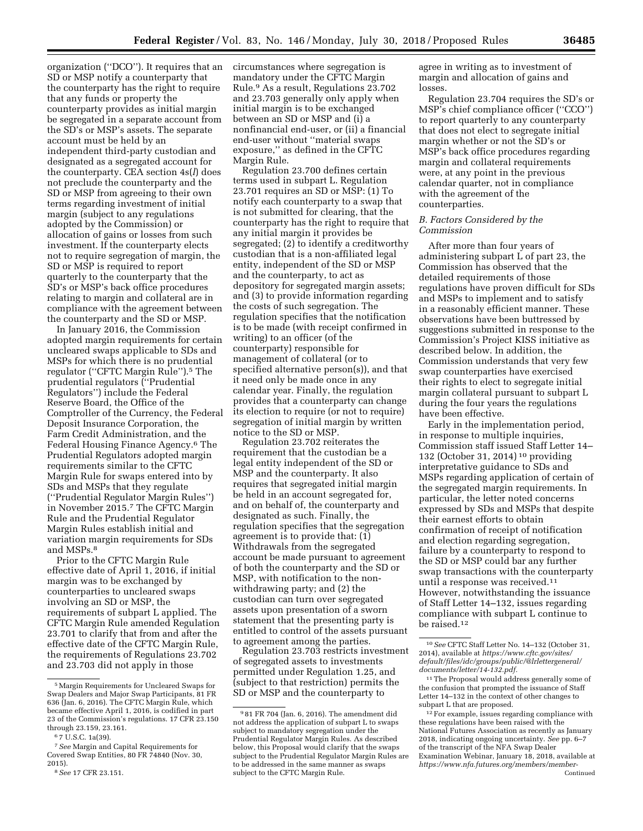organization (''DCO''). It requires that an SD or MSP notify a counterparty that the counterparty has the right to require that any funds or property the counterparty provides as initial margin be segregated in a separate account from the SD's or MSP's assets. The separate account must be held by an independent third-party custodian and designated as a segregated account for the counterparty. CEA section 4s(*l*) does not preclude the counterparty and the SD or MSP from agreeing to their own terms regarding investment of initial margin (subject to any regulations adopted by the Commission) or allocation of gains or losses from such investment. If the counterparty elects not to require segregation of margin, the SD or MSP is required to report quarterly to the counterparty that the SD's or MSP's back office procedures relating to margin and collateral are in compliance with the agreement between the counterparty and the SD or MSP.

In January 2016, the Commission adopted margin requirements for certain uncleared swaps applicable to SDs and MSPs for which there is no prudential regulator ("CFTC Margin Rule").<sup>5</sup> The prudential regulators (''Prudential Regulators'') include the Federal Reserve Board, the Office of the Comptroller of the Currency, the Federal Deposit Insurance Corporation, the Farm Credit Administration, and the Federal Housing Finance Agency.6 The Prudential Regulators adopted margin requirements similar to the CFTC Margin Rule for swaps entered into by SDs and MSPs that they regulate (''Prudential Regulator Margin Rules'') in November 2015.7 The CFTC Margin Rule and the Prudential Regulator Margin Rules establish initial and variation margin requirements for SDs and MSPs.8

Prior to the CFTC Margin Rule effective date of April 1, 2016, if initial margin was to be exchanged by counterparties to uncleared swaps involving an SD or MSP, the requirements of subpart L applied. The CFTC Margin Rule amended Regulation 23.701 to clarify that from and after the effective date of the CFTC Margin Rule, the requirements of Regulations 23.702 and 23.703 did not apply in those

circumstances where segregation is mandatory under the CFTC Margin Rule.9 As a result, Regulations 23.702 and 23.703 generally only apply when initial margin is to be exchanged between an SD or MSP and (i) a nonfinancial end-user, or (ii) a financial end-user without ''material swaps exposure,'' as defined in the CFTC Margin Rule.

Regulation 23.700 defines certain terms used in subpart L. Regulation 23.701 requires an SD or MSP: (1) To notify each counterparty to a swap that is not submitted for clearing, that the counterparty has the right to require that any initial margin it provides be segregated; (2) to identify a creditworthy custodian that is a non-affiliated legal entity, independent of the SD or MSP and the counterparty, to act as depository for segregated margin assets; and (3) to provide information regarding the costs of such segregation. The regulation specifies that the notification is to be made (with receipt confirmed in writing) to an officer (of the counterparty) responsible for management of collateral (or to specified alternative person(s)), and that it need only be made once in any calendar year. Finally, the regulation provides that a counterparty can change its election to require (or not to require) segregation of initial margin by written notice to the SD or MSP.

Regulation 23.702 reiterates the requirement that the custodian be a legal entity independent of the SD or MSP and the counterparty. It also requires that segregated initial margin be held in an account segregated for, and on behalf of, the counterparty and designated as such. Finally, the regulation specifies that the segregation agreement is to provide that: (1) Withdrawals from the segregated account be made pursuant to agreement of both the counterparty and the SD or MSP, with notification to the nonwithdrawing party; and (2) the custodian can turn over segregated assets upon presentation of a sworn statement that the presenting party is entitled to control of the assets pursuant to agreement among the parties.

Regulation 23.703 restricts investment of segregated assets to investments permitted under Regulation 1.25, and (subject to that restriction) permits the SD or MSP and the counterparty to

agree in writing as to investment of margin and allocation of gains and losses.

Regulation 23.704 requires the SD's or MSP's chief compliance officer (''CCO'') to report quarterly to any counterparty that does not elect to segregate initial margin whether or not the SD's or MSP's back office procedures regarding margin and collateral requirements were, at any point in the previous calendar quarter, not in compliance with the agreement of the counterparties.

### *B. Factors Considered by the Commission*

After more than four years of administering subpart L of part 23, the Commission has observed that the detailed requirements of those regulations have proven difficult for SDs and MSPs to implement and to satisfy in a reasonably efficient manner. These observations have been buttressed by suggestions submitted in response to the Commission's Project KISS initiative as described below. In addition, the Commission understands that very few swap counterparties have exercised their rights to elect to segregate initial margin collateral pursuant to subpart L during the four years the regulations have been effective.

Early in the implementation period, in response to multiple inquiries, Commission staff issued Staff Letter 14– 132 (October 31, 2014) 10 providing interpretative guidance to SDs and MSPs regarding application of certain of the segregated margin requirements. In particular, the letter noted concerns expressed by SDs and MSPs that despite their earnest efforts to obtain confirmation of receipt of notification and election regarding segregation, failure by a counterparty to respond to the SD or MSP could bar any further swap transactions with the counterparty until a response was received.11 However, notwithstanding the issuance of Staff Letter 14–132, issues regarding compliance with subpart L continue to be raised.12

<sup>5</sup>Margin Requirements for Uncleared Swaps for Swap Dealers and Major Swap Participants, 81 FR 636 (Jan. 6, 2016). The CFTC Margin Rule, which became effective April 1, 2016, is codified in part 23 of the Commission's regulations. 17 CFR 23.150 through 23.159, 23.161.

<sup>6</sup> 7 U.S.C. 1a(39).

<sup>7</sup>*See* Margin and Capital Requirements for Covered Swap Entities, 80 FR 74840 (Nov. 30, 2015).

<sup>8</sup>*See* 17 CFR 23.151.

<sup>9</sup> 81 FR 704 (Jan. 6, 2016). The amendment did not address the application of subpart L to swaps subject to mandatory segregation under the Prudential Regulator Margin Rules. As described below, this Proposal would clarify that the swaps subject to the Prudential Regulator Margin Rules are to be addressed in the same manner as swaps subject to the CFTC Margin Rule.

<sup>10</sup>*See* CFTC Staff Letter No. 14–132 (October 31, 2014), available at *[https://www.cftc.gov/sites/](https://www.cftc.gov/sites/default/files/idc/groups/public/@lrlettergeneral/documents/letter/14-132.pdf)  [default/files/idc/groups/public/@lrlettergeneral/](https://www.cftc.gov/sites/default/files/idc/groups/public/@lrlettergeneral/documents/letter/14-132.pdf)  [documents/letter/14-132.pdf.](https://www.cftc.gov/sites/default/files/idc/groups/public/@lrlettergeneral/documents/letter/14-132.pdf)* 

<sup>11</sup>The Proposal would address generally some of the confusion that prompted the issuance of Staff Letter 14–132 in the context of other changes to subpart L that are proposed.

<sup>12</sup>For example, issues regarding compliance with these regulations have been raised with the National Futures Association as recently as January 2018, indicating ongoing uncertainty. *See* pp. 6–7 of the transcript of the NFA Swap Dealer Examination Webinar, January 18, 2018, available at *[https://www.nfa.futures.org/members/member-](https://www.nfa.futures.org/members/member-resources/files/transcripts/sdexamswebinartranscriptjan2018.pdf)*Continued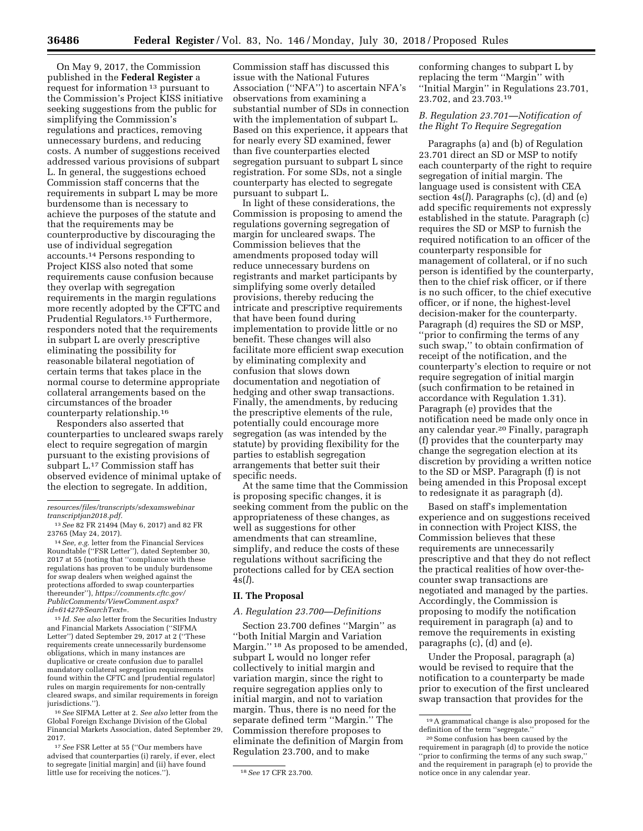On May 9, 2017, the Commission published in the **Federal Register** a request for information 13 pursuant to the Commission's Project KISS initiative seeking suggestions from the public for simplifying the Commission's regulations and practices, removing unnecessary burdens, and reducing costs. A number of suggestions received addressed various provisions of subpart L. In general, the suggestions echoed Commission staff concerns that the requirements in subpart L may be more burdensome than is necessary to achieve the purposes of the statute and that the requirements may be counterproductive by discouraging the use of individual segregation accounts.14 Persons responding to Project KISS also noted that some requirements cause confusion because they overlap with segregation requirements in the margin regulations more recently adopted by the CFTC and Prudential Regulators.15 Furthermore, responders noted that the requirements in subpart L are overly prescriptive eliminating the possibility for reasonable bilateral negotiation of certain terms that takes place in the normal course to determine appropriate collateral arrangements based on the circumstances of the broader counterparty relationship.16

Responders also asserted that counterparties to uncleared swaps rarely elect to require segregation of margin pursuant to the existing provisions of subpart L.17 Commission staff has observed evidence of minimal uptake of the election to segregate. In addition,

14*See, e.g.* letter from the Financial Services Roundtable (''FSR Letter''), dated September 30, 2017 at 55 (noting that ''compliance with these regulations has proven to be unduly burdensome for swap dealers when weighed against the protections afforded to swap counterparties thereunder''), *[https://comments.cftc.gov/](https://comments.cftc.gov/PublicComments/ViewComment.aspx?id=61427&SearchText=)  [PublicComments/ViewComment.aspx?](https://comments.cftc.gov/PublicComments/ViewComment.aspx?id=61427&SearchText=) [id=61427&SearchText=.](https://comments.cftc.gov/PublicComments/ViewComment.aspx?id=61427&SearchText=)* 

15 *Id. See also* letter from the Securities Industry and Financial Markets Association (''SIFMA Letter'') dated September 29, 2017 at 2 (''These requirements create unnecessarily burdensome obligations, which in many instances are duplicative or create confusion due to parallel mandatory collateral segregation requirements found within the CFTC and [prudential regulator] rules on margin requirements for non-centrally cleared swaps, and similar requirements in foreign jurisdictions.").

16*See* SIFMA Letter at 2. *See also* letter from the Global Foreign Exchange Division of the Global Financial Markets Association, dated September 29, 2017.

17*See* FSR Letter at 55 (''Our members have advised that counterparties (i) rarely, if ever, elect to segregate [initial margin] and (ii) have found little use for receiving the notices.''). 18*See* 17 CFR 23.700.

Commission staff has discussed this issue with the National Futures Association (''NFA'') to ascertain NFA's observations from examining a substantial number of SDs in connection with the implementation of subpart L. Based on this experience, it appears that for nearly every SD examined, fewer than five counterparties elected segregation pursuant to subpart L since registration. For some SDs, not a single counterparty has elected to segregate pursuant to subpart L.

In light of these considerations, the Commission is proposing to amend the regulations governing segregation of margin for uncleared swaps. The Commission believes that the amendments proposed today will reduce unnecessary burdens on registrants and market participants by simplifying some overly detailed provisions, thereby reducing the intricate and prescriptive requirements that have been found during implementation to provide little or no benefit. These changes will also facilitate more efficient swap execution by eliminating complexity and confusion that slows down documentation and negotiation of hedging and other swap transactions. Finally, the amendments, by reducing the prescriptive elements of the rule, potentially could encourage more segregation (as was intended by the statute) by providing flexibility for the parties to establish segregation arrangements that better suit their specific needs.

At the same time that the Commission is proposing specific changes, it is seeking comment from the public on the appropriateness of these changes, as well as suggestions for other amendments that can streamline, simplify, and reduce the costs of these regulations without sacrificing the protections called for by CEA section 4s(*l*).

### **II. The Proposal**

### *A. Regulation 23.700—Definitions*

Section 23.700 defines ''Margin'' as ''both Initial Margin and Variation Margin."<sup>18</sup> As proposed to be amended, subpart L would no longer refer collectively to initial margin and variation margin, since the right to require segregation applies only to initial margin, and not to variation margin. Thus, there is no need for the separate defined term ''Margin.'' The Commission therefore proposes to eliminate the definition of Margin from Regulation 23.700, and to make

conforming changes to subpart L by replacing the term ''Margin'' with ''Initial Margin'' in Regulations 23.701, 23.702, and 23.703.19

### *B. Regulation 23.701—Notification of the Right To Require Segregation*

Paragraphs (a) and (b) of Regulation 23.701 direct an SD or MSP to notify each counterparty of the right to require segregation of initial margin. The language used is consistent with CEA section 4s(*l*). Paragraphs (c), (d) and (e) add specific requirements not expressly established in the statute. Paragraph (c) requires the SD or MSP to furnish the required notification to an officer of the counterparty responsible for management of collateral, or if no such person is identified by the counterparty, then to the chief risk officer, or if there is no such officer, to the chief executive officer, or if none, the highest-level decision-maker for the counterparty. Paragraph (d) requires the SD or MSP, ''prior to confirming the terms of any such swap,'' to obtain confirmation of receipt of the notification, and the counterparty's election to require or not require segregation of initial margin (such confirmation to be retained in accordance with Regulation 1.31). Paragraph (e) provides that the notification need be made only once in any calendar year.20 Finally, paragraph (f) provides that the counterparty may change the segregation election at its discretion by providing a written notice to the SD or MSP. Paragraph (f) is not being amended in this Proposal except to redesignate it as paragraph (d).

Based on staff's implementation experience and on suggestions received in connection with Project KISS, the Commission believes that these requirements are unnecessarily prescriptive and that they do not reflect the practical realities of how over-thecounter swap transactions are negotiated and managed by the parties. Accordingly, the Commission is proposing to modify the notification requirement in paragraph (a) and to remove the requirements in existing paragraphs (c), (d) and (e).

Under the Proposal, paragraph (a) would be revised to require that the notification to a counterparty be made prior to execution of the first uncleared swap transaction that provides for the

*[resources/files/transcripts/sdexamswebinar](https://www.nfa.futures.org/members/member-resources/files/transcripts/sdexamswebinartranscriptjan2018.pdf) [transcriptjan2018.pdf.](https://www.nfa.futures.org/members/member-resources/files/transcripts/sdexamswebinartranscriptjan2018.pdf)* 

<sup>13</sup>*See* 82 FR 21494 (May 6, 2017) and 82 FR 23765 (May 24, 2017).

<sup>19</sup>A grammatical change is also proposed for the definition of the term ''segregate.''

<sup>20</sup>Some confusion has been caused by the requirement in paragraph (d) to provide the notice ''prior to confirming the terms of any such swap,'' and the requirement in paragraph (e) to provide the notice once in any calendar year.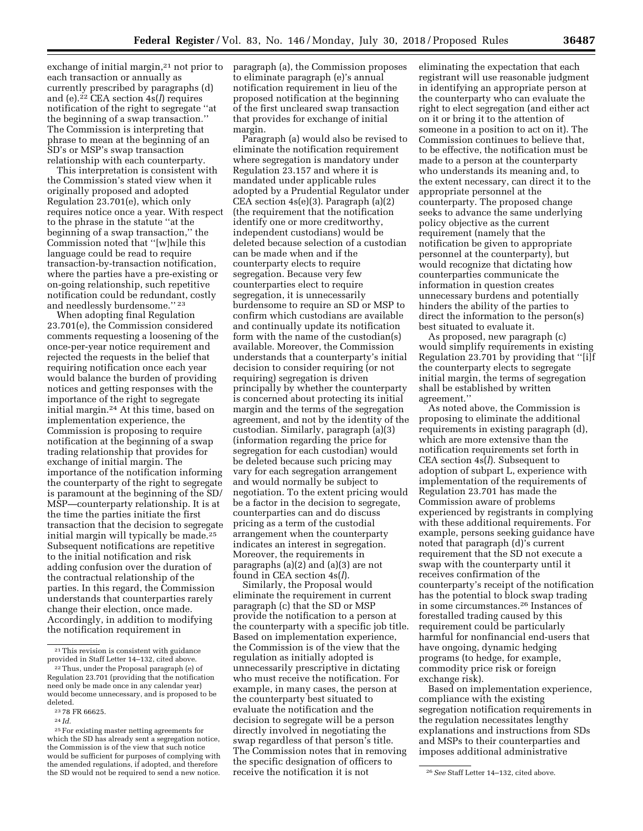exchange of initial margin, $2<sup>1</sup>$  not prior to each transaction or annually as currently prescribed by paragraphs (d) and (e).22 CEA section 4s(*l*) requires notification of the right to segregate ''at the beginning of a swap transaction.'' The Commission is interpreting that phrase to mean at the beginning of an SD's or MSP's swap transaction relationship with each counterparty.

This interpretation is consistent with the Commission's stated view when it originally proposed and adopted Regulation 23.701(e), which only requires notice once a year. With respect to the phrase in the statute ''at the beginning of a swap transaction,'' the Commission noted that ''[w]hile this language could be read to require transaction-by-transaction notification, where the parties have a pre-existing or on-going relationship, such repetitive notification could be redundant, costly and needlessly burdensome.'' 23

When adopting final Regulation 23.701(e), the Commission considered comments requesting a loosening of the once-per-year notice requirement and rejected the requests in the belief that requiring notification once each year would balance the burden of providing notices and getting responses with the importance of the right to segregate initial margin.24 At this time, based on implementation experience, the Commission is proposing to require notification at the beginning of a swap trading relationship that provides for exchange of initial margin. The importance of the notification informing the counterparty of the right to segregate is paramount at the beginning of the SD/ MSP—counterparty relationship. It is at the time the parties initiate the first transaction that the decision to segregate initial margin will typically be made.25 Subsequent notifications are repetitive to the initial notification and risk adding confusion over the duration of the contractual relationship of the parties. In this regard, the Commission understands that counterparties rarely change their election, once made. Accordingly, in addition to modifying the notification requirement in

24 *Id.* 

paragraph (a), the Commission proposes to eliminate paragraph (e)'s annual notification requirement in lieu of the proposed notification at the beginning of the first uncleared swap transaction that provides for exchange of initial margin.

Paragraph (a) would also be revised to eliminate the notification requirement where segregation is mandatory under Regulation 23.157 and where it is mandated under applicable rules adopted by a Prudential Regulator under CEA section 4s(e)(3). Paragraph (a)(2) (the requirement that the notification identify one or more creditworthy, independent custodians) would be deleted because selection of a custodian can be made when and if the counterparty elects to require segregation. Because very few counterparties elect to require segregation, it is unnecessarily burdensome to require an SD or MSP to confirm which custodians are available and continually update its notification form with the name of the custodian(s) available. Moreover, the Commission understands that a counterparty's initial decision to consider requiring (or not requiring) segregation is driven principally by whether the counterparty is concerned about protecting its initial margin and the terms of the segregation agreement, and not by the identity of the custodian. Similarly, paragraph (a)(3) (information regarding the price for segregation for each custodian) would be deleted because such pricing may vary for each segregation arrangement and would normally be subject to negotiation. To the extent pricing would be a factor in the decision to segregate, counterparties can and do discuss pricing as a term of the custodial arrangement when the counterparty indicates an interest in segregation. Moreover, the requirements in paragraphs (a)(2) and (a)(3) are not found in CEA section 4s(*l*).

Similarly, the Proposal would eliminate the requirement in current paragraph (c) that the SD or MSP provide the notification to a person at the counterparty with a specific job title. Based on implementation experience, the Commission is of the view that the regulation as initially adopted is unnecessarily prescriptive in dictating who must receive the notification. For example, in many cases, the person at the counterparty best situated to evaluate the notification and the decision to segregate will be a person directly involved in negotiating the swap regardless of that person's title. The Commission notes that in removing the specific designation of officers to receive the notification it is not

eliminating the expectation that each registrant will use reasonable judgment in identifying an appropriate person at the counterparty who can evaluate the right to elect segregation (and either act on it or bring it to the attention of someone in a position to act on it). The Commission continues to believe that, to be effective, the notification must be made to a person at the counterparty who understands its meaning and, to the extent necessary, can direct it to the appropriate personnel at the counterparty. The proposed change seeks to advance the same underlying policy objective as the current requirement (namely that the notification be given to appropriate personnel at the counterparty), but would recognize that dictating how counterparties communicate the information in question creates unnecessary burdens and potentially hinders the ability of the parties to direct the information to the person(s) best situated to evaluate it.

As proposed, new paragraph (c) would simplify requirements in existing Regulation 23.701 by providing that ''[i]f the counterparty elects to segregate initial margin, the terms of segregation shall be established by written agreement.''

As noted above, the Commission is proposing to eliminate the additional requirements in existing paragraph (d), which are more extensive than the notification requirements set forth in CEA section 4s(*l*). Subsequent to adoption of subpart L, experience with implementation of the requirements of Regulation 23.701 has made the Commission aware of problems experienced by registrants in complying with these additional requirements. For example, persons seeking guidance have noted that paragraph (d)'s current requirement that the SD not execute a swap with the counterparty until it receives confirmation of the counterparty's receipt of the notification has the potential to block swap trading in some circumstances.26 Instances of forestalled trading caused by this requirement could be particularly harmful for nonfinancial end-users that have ongoing, dynamic hedging programs (to hedge, for example, commodity price risk or foreign exchange risk).

Based on implementation experience, compliance with the existing segregation notification requirements in the regulation necessitates lengthy explanations and instructions from SDs and MSPs to their counterparties and imposes additional administrative

<sup>21</sup>This revision is consistent with guidance provided in Staff Letter 14–132, cited above.

<sup>22</sup>Thus, under the Proposal paragraph (e) of Regulation 23.701 (providing that the notification need only be made once in any calendar year) would become unnecessary, and is proposed to be deleted.

<sup>23</sup> 78 FR 66625.

<sup>25</sup>For existing master netting agreements for which the SD has already sent a segregation notice, the Commission is of the view that such notice would be sufficient for purposes of complying with the amended regulations, if adopted, and therefore the SD would not be required to send a new notice. receive the notification it is not <sup>26</sup>*See* Staff Letter 14–132, cited above.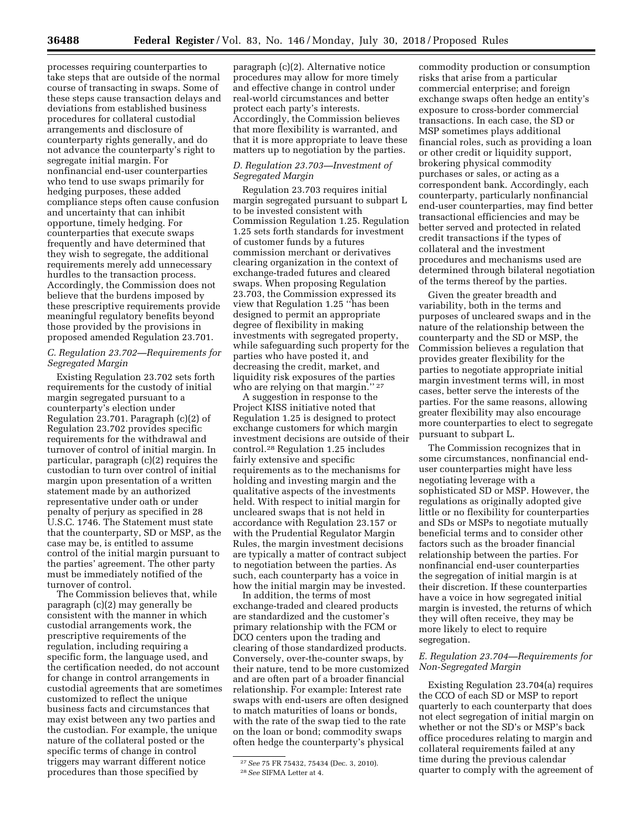processes requiring counterparties to take steps that are outside of the normal course of transacting in swaps. Some of these steps cause transaction delays and deviations from established business procedures for collateral custodial arrangements and disclosure of counterparty rights generally, and do not advance the counterparty's right to segregate initial margin. For nonfinancial end-user counterparties who tend to use swaps primarily for hedging purposes, these added compliance steps often cause confusion and uncertainty that can inhibit opportune, timely hedging. For counterparties that execute swaps frequently and have determined that they wish to segregate, the additional requirements merely add unnecessary hurdles to the transaction process. Accordingly, the Commission does not believe that the burdens imposed by these prescriptive requirements provide meaningful regulatory benefits beyond those provided by the provisions in proposed amended Regulation 23.701.

## *C. Regulation 23.702—Requirements for Segregated Margin*

Existing Regulation 23.702 sets forth requirements for the custody of initial margin segregated pursuant to a counterparty's election under Regulation 23.701. Paragraph (c)(2) of Regulation 23.702 provides specific requirements for the withdrawal and turnover of control of initial margin. In particular, paragraph (c)(2) requires the custodian to turn over control of initial margin upon presentation of a written statement made by an authorized representative under oath or under penalty of perjury as specified in 28 U.S.C. 1746. The Statement must state that the counterparty, SD or MSP, as the case may be, is entitled to assume control of the initial margin pursuant to the parties' agreement. The other party must be immediately notified of the turnover of control.

The Commission believes that, while paragraph (c)(2) may generally be consistent with the manner in which custodial arrangements work, the prescriptive requirements of the regulation, including requiring a specific form, the language used, and the certification needed, do not account for change in control arrangements in custodial agreements that are sometimes customized to reflect the unique business facts and circumstances that may exist between any two parties and the custodian. For example, the unique nature of the collateral posted or the specific terms of change in control triggers may warrant different notice procedures than those specified by

paragraph (c)(2). Alternative notice procedures may allow for more timely and effective change in control under real-world circumstances and better protect each party's interests. Accordingly, the Commission believes that more flexibility is warranted, and that it is more appropriate to leave these matters up to negotiation by the parties.

# *D. Regulation 23.703—Investment of Segregated Margin*

Regulation 23.703 requires initial margin segregated pursuant to subpart L to be invested consistent with Commission Regulation 1.25. Regulation 1.25 sets forth standards for investment of customer funds by a futures commission merchant or derivatives clearing organization in the context of exchange-traded futures and cleared swaps. When proposing Regulation 23.703, the Commission expressed its view that Regulation 1.25 ''has been designed to permit an appropriate degree of flexibility in making investments with segregated property, while safeguarding such property for the parties who have posted it, and decreasing the credit, market, and liquidity risk exposures of the parties who are relying on that margin."<sup>27</sup>

A suggestion in response to the Project KISS initiative noted that Regulation 1.25 is designed to protect exchange customers for which margin investment decisions are outside of their control.28 Regulation 1.25 includes fairly extensive and specific requirements as to the mechanisms for holding and investing margin and the qualitative aspects of the investments held. With respect to initial margin for uncleared swaps that is not held in accordance with Regulation 23.157 or with the Prudential Regulator Margin Rules, the margin investment decisions are typically a matter of contract subject to negotiation between the parties. As such, each counterparty has a voice in how the initial margin may be invested.

In addition, the terms of most exchange-traded and cleared products are standardized and the customer's primary relationship with the FCM or DCO centers upon the trading and clearing of those standardized products. Conversely, over-the-counter swaps, by their nature, tend to be more customized and are often part of a broader financial relationship. For example: Interest rate swaps with end-users are often designed to match maturities of loans or bonds, with the rate of the swap tied to the rate on the loan or bond; commodity swaps often hedge the counterparty's physical

commodity production or consumption risks that arise from a particular commercial enterprise; and foreign exchange swaps often hedge an entity's exposure to cross-border commercial transactions. In each case, the SD or MSP sometimes plays additional financial roles, such as providing a loan or other credit or liquidity support, brokering physical commodity purchases or sales, or acting as a correspondent bank. Accordingly, each counterparty, particularly nonfinancial end-user counterparties, may find better transactional efficiencies and may be better served and protected in related credit transactions if the types of collateral and the investment procedures and mechanisms used are determined through bilateral negotiation of the terms thereof by the parties.

Given the greater breadth and variability, both in the terms and purposes of uncleared swaps and in the nature of the relationship between the counterparty and the SD or MSP, the Commission believes a regulation that provides greater flexibility for the parties to negotiate appropriate initial margin investment terms will, in most cases, better serve the interests of the parties. For the same reasons, allowing greater flexibility may also encourage more counterparties to elect to segregate pursuant to subpart L.

The Commission recognizes that in some circumstances, nonfinancial enduser counterparties might have less negotiating leverage with a sophisticated SD or MSP. However, the regulations as originally adopted give little or no flexibility for counterparties and SDs or MSPs to negotiate mutually beneficial terms and to consider other factors such as the broader financial relationship between the parties. For nonfinancial end-user counterparties the segregation of initial margin is at their discretion. If these counterparties have a voice in how segregated initial margin is invested, the returns of which they will often receive, they may be more likely to elect to require segregation.

## *E. Regulation 23.704—Requirements for Non-Segregated Margin*

Existing Regulation 23.704(a) requires the CCO of each SD or MSP to report quarterly to each counterparty that does not elect segregation of initial margin on whether or not the SD's or MSP's back office procedures relating to margin and collateral requirements failed at any time during the previous calendar quarter to comply with the agreement of

<sup>27</sup>*See* 75 FR 75432, 75434 (Dec. 3, 2010). 28*See* SIFMA Letter at 4.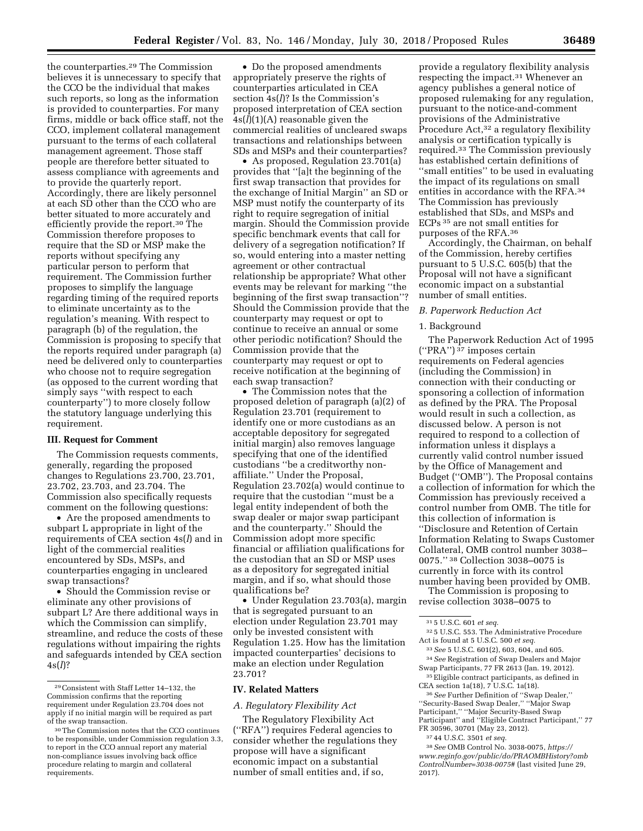the counterparties.29 The Commission believes it is unnecessary to specify that the CCO be the individual that makes such reports, so long as the information is provided to counterparties. For many firms, middle or back office staff, not the CCO, implement collateral management pursuant to the terms of each collateral management agreement. Those staff people are therefore better situated to assess compliance with agreements and to provide the quarterly report. Accordingly, there are likely personnel at each SD other than the CCO who are better situated to more accurately and efficiently provide the report.30 The Commission therefore proposes to require that the SD or MSP make the reports without specifying any particular person to perform that requirement. The Commission further proposes to simplify the language regarding timing of the required reports to eliminate uncertainty as to the regulation's meaning. With respect to paragraph (b) of the regulation, the Commission is proposing to specify that the reports required under paragraph (a) need be delivered only to counterparties who choose not to require segregation (as opposed to the current wording that simply says ''with respect to each counterparty'') to more closely follow the statutory language underlying this requirement.

#### **III. Request for Comment**

The Commission requests comments, generally, regarding the proposed changes to Regulations 23.700, 23.701, 23.702, 23.703, and 23.704. The Commission also specifically requests comment on the following questions:

• Are the proposed amendments to subpart L appropriate in light of the requirements of CEA section 4s(*l*) and in light of the commercial realities encountered by SDs, MSPs, and counterparties engaging in uncleared swap transactions?

• Should the Commission revise or eliminate any other provisions of subpart L? Are there additional ways in which the Commission can simplify, streamline, and reduce the costs of these regulations without impairing the rights and safeguards intended by CEA section 4s(*l*)?

• Do the proposed amendments appropriately preserve the rights of counterparties articulated in CEA section 4s(*l*)? Is the Commission's proposed interpretation of CEA section  $4s(\bar{l})(1)(A)$  reasonable given the commercial realities of uncleared swaps transactions and relationships between SDs and MSPs and their counterparties?

• As proposed, Regulation 23.701(a) provides that ''[a]t the beginning of the first swap transaction that provides for the exchange of Initial Margin'' an SD or MSP must notify the counterparty of its right to require segregation of initial margin. Should the Commission provide specific benchmark events that call for delivery of a segregation notification? If so, would entering into a master netting agreement or other contractual relationship be appropriate? What other events may be relevant for marking ''the beginning of the first swap transaction''? Should the Commission provide that the counterparty may request or opt to continue to receive an annual or some other periodic notification? Should the Commission provide that the counterparty may request or opt to receive notification at the beginning of each swap transaction?

• The Commission notes that the proposed deletion of paragraph (a)(2) of Regulation 23.701 (requirement to identify one or more custodians as an acceptable depository for segregated initial margin) also removes language specifying that one of the identified custodians ''be a creditworthy nonaffiliate.'' Under the Proposal, Regulation 23.702(a) would continue to require that the custodian ''must be a legal entity independent of both the swap dealer or major swap participant and the counterparty.'' Should the Commission adopt more specific financial or affiliation qualifications for the custodian that an SD or MSP uses as a depository for segregated initial margin, and if so, what should those qualifications be?

• Under Regulation 23.703(a), margin that is segregated pursuant to an election under Regulation 23.701 may only be invested consistent with Regulation 1.25. How has the limitation impacted counterparties' decisions to make an election under Regulation 23.701?

#### **IV. Related Matters**

### *A. Regulatory Flexibility Act*

The Regulatory Flexibility Act (''RFA'') requires Federal agencies to consider whether the regulations they propose will have a significant economic impact on a substantial number of small entities and, if so,

provide a regulatory flexibility analysis respecting the impact.31 Whenever an agency publishes a general notice of proposed rulemaking for any regulation, pursuant to the notice-and-comment provisions of the Administrative Procedure Act,<sup>32</sup> a regulatory flexibility analysis or certification typically is required.33 The Commission previously has established certain definitions of ''small entities'' to be used in evaluating the impact of its regulations on small entities in accordance with the RFA.34 The Commission has previously established that SDs, and MSPs and ECPs 35 are not small entities for purposes of the RFA.36

Accordingly, the Chairman, on behalf of the Commission, hereby certifies pursuant to 5 U.S.C. 605(b) that the Proposal will not have a significant economic impact on a substantial number of small entities.

# *B. Paperwork Reduction Act*

## 1. Background

The Paperwork Reduction Act of 1995 (''PRA'') 37 imposes certain requirements on Federal agencies (including the Commission) in connection with their conducting or sponsoring a collection of information as defined by the PRA. The Proposal would result in such a collection, as discussed below. A person is not required to respond to a collection of information unless it displays a currently valid control number issued by the Office of Management and Budget (''OMB''). The Proposal contains a collection of information for which the Commission has previously received a control number from OMB. The title for this collection of information is ''Disclosure and Retention of Certain Information Relating to Swaps Customer Collateral, OMB control number 3038– 0075.'' 38 Collection 3038–0075 is currently in force with its control number having been provided by OMB. The Commission is proposing to

revise collection 3038–0075 to

- 32 5 U.S.C. 553. The Administrative Procedure Act is found at 5 U.S.C. 500 *et seq.*
- 33*See* 5 U.S.C. 601(2), 603, 604, and 605. 34*See* Registration of Swap Dealers and Major Swap Participants, 77 FR 2613 (Jan. 19, 2012).
- 35Eligible contract participants, as defined in CEA section 1a(18), 7 U.S.C. 1a(18).

36*See* Further Definition of ''Swap Dealer,'' ''Security-Based Swap Dealer,'' ''Major Swap Participant,'' ''Major Security-Based Swap Participant" and "Eligible Contract Participant," 77 FR 30596, 30701 (May 23, 2012).

37 44 U.S.C. 3501 *et seq.* 

<sup>29</sup>Consistent with Staff Letter 14–132, the Commission confirms that the reporting requirement under Regulation 23.704 does not apply if no initial margin will be required as part of the swap transaction.

<sup>30</sup>The Commission notes that the CCO continues to be responsible, under Commission regulation 3.3, to report in the CCO annual report any material non-compliance issues involving back office procedure relating to margin and collateral requirements.

<sup>31</sup> 5 U.S.C. 601 *et seq.* 

<sup>38</sup>*See* OMB Control No. 3038-0075, *[https://](https://www.reginfo.gov/public/do/PRAOMBHistory?ombControlNumber=3038-0075#) [www.reginfo.gov/public/do/PRAOMBHistory?omb](https://www.reginfo.gov/public/do/PRAOMBHistory?ombControlNumber=3038-0075#) [ControlNumber=3038-0075#](https://www.reginfo.gov/public/do/PRAOMBHistory?ombControlNumber=3038-0075#)* (last visited June 29, 2017).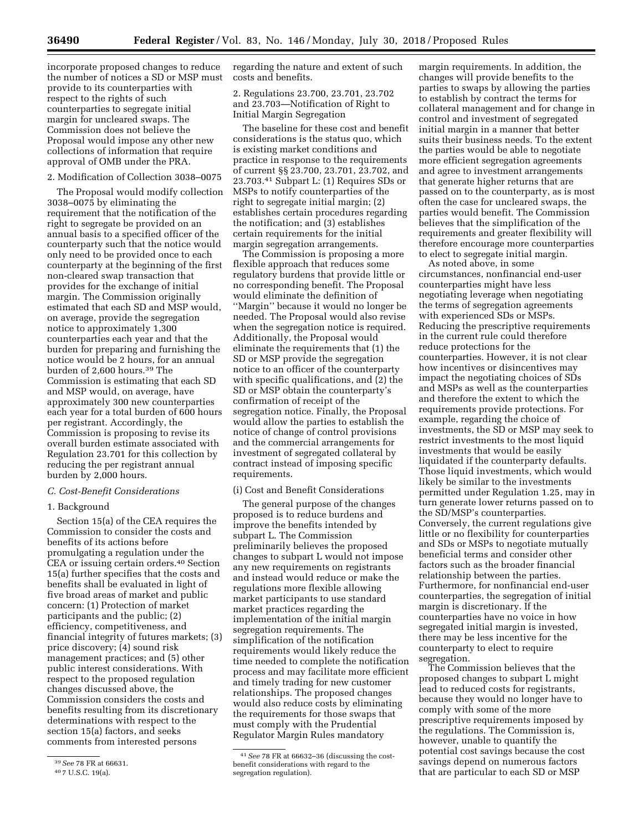incorporate proposed changes to reduce the number of notices a SD or MSP must provide to its counterparties with respect to the rights of such counterparties to segregate initial margin for uncleared swaps. The Commission does not believe the Proposal would impose any other new collections of information that require approval of OMB under the PRA.

### 2. Modification of Collection 3038–0075

The Proposal would modify collection 3038–0075 by eliminating the requirement that the notification of the right to segregate be provided on an annual basis to a specified officer of the counterparty such that the notice would only need to be provided once to each counterparty at the beginning of the first non-cleared swap transaction that provides for the exchange of initial margin. The Commission originally estimated that each SD and MSP would, on average, provide the segregation notice to approximately 1,300 counterparties each year and that the burden for preparing and furnishing the notice would be 2 hours, for an annual burden of 2,600 hours.39 The Commission is estimating that each SD and MSP would, on average, have approximately 300 new counterparties each year for a total burden of 600 hours per registrant. Accordingly, the Commission is proposing to revise its overall burden estimate associated with Regulation 23.701 for this collection by reducing the per registrant annual burden by 2,000 hours.

## *C. Cost-Benefit Considerations*

## 1. Background

Section 15(a) of the CEA requires the Commission to consider the costs and benefits of its actions before promulgating a regulation under the CEA or issuing certain orders.40 Section 15(a) further specifies that the costs and benefits shall be evaluated in light of five broad areas of market and public concern: (1) Protection of market participants and the public; (2) efficiency, competitiveness, and financial integrity of futures markets; (3) price discovery; (4) sound risk management practices; and (5) other public interest considerations. With respect to the proposed regulation changes discussed above, the Commission considers the costs and benefits resulting from its discretionary determinations with respect to the section 15(a) factors, and seeks comments from interested persons

regarding the nature and extent of such costs and benefits.

2. Regulations 23.700, 23.701, 23.702 and 23.703—Notification of Right to Initial Margin Segregation

The baseline for these cost and benefit considerations is the status quo, which is existing market conditions and practice in response to the requirements of current §§ 23.700, 23.701, 23.702, and 23.703.41 Subpart L: (1) Requires SDs or MSPs to notify counterparties of the right to segregate initial margin; (2) establishes certain procedures regarding the notification; and (3) establishes certain requirements for the initial margin segregation arrangements.

The Commission is proposing a more flexible approach that reduces some regulatory burdens that provide little or no corresponding benefit. The Proposal would eliminate the definition of ''Margin'' because it would no longer be needed. The Proposal would also revise when the segregation notice is required. Additionally, the Proposal would eliminate the requirements that (1) the SD or MSP provide the segregation notice to an officer of the counterparty with specific qualifications, and  $(2)$  the SD or MSP obtain the counterparty's confirmation of receipt of the segregation notice. Finally, the Proposal would allow the parties to establish the notice of change of control provisions and the commercial arrangements for investment of segregated collateral by contract instead of imposing specific requirements.

### (i) Cost and Benefit Considerations

The general purpose of the changes proposed is to reduce burdens and improve the benefits intended by subpart L. The Commission preliminarily believes the proposed changes to subpart L would not impose any new requirements on registrants and instead would reduce or make the regulations more flexible allowing market participants to use standard market practices regarding the implementation of the initial margin segregation requirements. The simplification of the notification requirements would likely reduce the time needed to complete the notification process and may facilitate more efficient and timely trading for new customer relationships. The proposed changes would also reduce costs by eliminating the requirements for those swaps that must comply with the Prudential Regulator Margin Rules mandatory

margin requirements. In addition, the changes will provide benefits to the parties to swaps by allowing the parties to establish by contract the terms for collateral management and for change in control and investment of segregated initial margin in a manner that better suits their business needs. To the extent the parties would be able to negotiate more efficient segregation agreements and agree to investment arrangements that generate higher returns that are passed on to the counterparty, as is most often the case for uncleared swaps, the parties would benefit. The Commission believes that the simplification of the requirements and greater flexibility will therefore encourage more counterparties to elect to segregate initial margin.

As noted above, in some circumstances, nonfinancial end-user counterparties might have less negotiating leverage when negotiating the terms of segregation agreements with experienced SDs or MSPs. Reducing the prescriptive requirements in the current rule could therefore reduce protections for the counterparties. However, it is not clear how incentives or disincentives may impact the negotiating choices of SDs and MSPs as well as the counterparties and therefore the extent to which the requirements provide protections. For example, regarding the choice of investments, the SD or MSP may seek to restrict investments to the most liquid investments that would be easily liquidated if the counterparty defaults. Those liquid investments, which would likely be similar to the investments permitted under Regulation 1.25, may in turn generate lower returns passed on to the SD/MSP's counterparties. Conversely, the current regulations give little or no flexibility for counterparties and SDs or MSPs to negotiate mutually beneficial terms and consider other factors such as the broader financial relationship between the parties. Furthermore, for nonfinancial end-user counterparties, the segregation of initial margin is discretionary. If the counterparties have no voice in how segregated initial margin is invested, there may be less incentive for the counterparty to elect to require segregation.

The Commission believes that the proposed changes to subpart L might lead to reduced costs for registrants, because they would no longer have to comply with some of the more prescriptive requirements imposed by the regulations. The Commission is, however, unable to quantify the potential cost savings because the cost savings depend on numerous factors that are particular to each SD or MSP

<sup>39</sup>*See* 78 FR at 66631.

<sup>40</sup> 7 U.S.C. 19(a).

<sup>41</sup>*See* 78 FR at 66632–36 (discussing the costbenefit considerations with regard to the segregation regulation).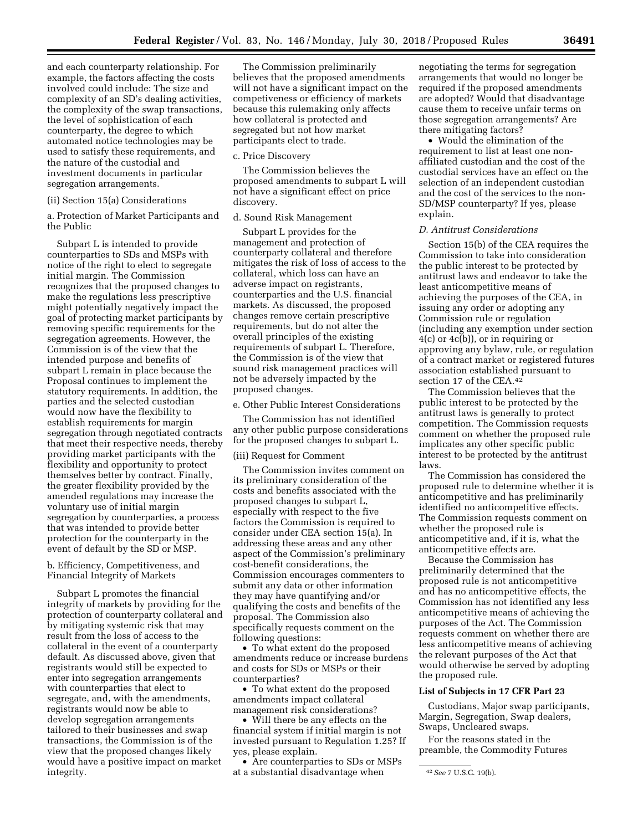and each counterparty relationship. For example, the factors affecting the costs involved could include: The size and complexity of an SD's dealing activities, the complexity of the swap transactions, the level of sophistication of each counterparty, the degree to which automated notice technologies may be used to satisfy these requirements, and the nature of the custodial and investment documents in particular segregation arrangements.

#### (ii) Section 15(a) Considerations

a. Protection of Market Participants and the Public

Subpart L is intended to provide counterparties to SDs and MSPs with notice of the right to elect to segregate initial margin. The Commission recognizes that the proposed changes to make the regulations less prescriptive might potentially negatively impact the goal of protecting market participants by removing specific requirements for the segregation agreements. However, the Commission is of the view that the intended purpose and benefits of subpart L remain in place because the Proposal continues to implement the statutory requirements. In addition, the parties and the selected custodian would now have the flexibility to establish requirements for margin segregation through negotiated contracts that meet their respective needs, thereby providing market participants with the flexibility and opportunity to protect themselves better by contract. Finally, the greater flexibility provided by the amended regulations may increase the voluntary use of initial margin segregation by counterparties, a process that was intended to provide better protection for the counterparty in the event of default by the SD or MSP.

b. Efficiency, Competitiveness, and Financial Integrity of Markets

Subpart L promotes the financial integrity of markets by providing for the protection of counterparty collateral and by mitigating systemic risk that may result from the loss of access to the collateral in the event of a counterparty default. As discussed above, given that registrants would still be expected to enter into segregation arrangements with counterparties that elect to segregate, and, with the amendments, registrants would now be able to develop segregation arrangements tailored to their businesses and swap transactions, the Commission is of the view that the proposed changes likely would have a positive impact on market integrity.

The Commission preliminarily believes that the proposed amendments will not have a significant impact on the competiveness or efficiency of markets because this rulemaking only affects how collateral is protected and segregated but not how market participants elect to trade.

#### c. Price Discovery

The Commission believes the proposed amendments to subpart L will not have a significant effect on price discovery.

#### d. Sound Risk Management

Subpart L provides for the management and protection of counterparty collateral and therefore mitigates the risk of loss of access to the collateral, which loss can have an adverse impact on registrants, counterparties and the U.S. financial markets. As discussed, the proposed changes remove certain prescriptive requirements, but do not alter the overall principles of the existing requirements of subpart L. Therefore, the Commission is of the view that sound risk management practices will not be adversely impacted by the proposed changes.

e. Other Public Interest Considerations

The Commission has not identified any other public purpose considerations for the proposed changes to subpart L.

### (iii) Request for Comment

The Commission invites comment on its preliminary consideration of the costs and benefits associated with the proposed changes to subpart L, especially with respect to the five factors the Commission is required to consider under CEA section 15(a). In addressing these areas and any other aspect of the Commission's preliminary cost-benefit considerations, the Commission encourages commenters to submit any data or other information they may have quantifying and/or qualifying the costs and benefits of the proposal. The Commission also specifically requests comment on the following questions:

• To what extent do the proposed amendments reduce or increase burdens and costs for SDs or MSPs or their counterparties?

• To what extent do the proposed amendments impact collateral management risk considerations?

• Will there be any effects on the financial system if initial margin is not invested pursuant to Regulation 1.25? If yes, please explain.

• Are counterparties to SDs or MSPs at a substantial disadvantage when

negotiating the terms for segregation arrangements that would no longer be required if the proposed amendments are adopted? Would that disadvantage cause them to receive unfair terms on those segregation arrangements? Are there mitigating factors?

• Would the elimination of the requirement to list at least one nonaffiliated custodian and the cost of the custodial services have an effect on the selection of an independent custodian and the cost of the services to the non-SD/MSP counterparty? If yes, please explain.

### *D. Antitrust Considerations*

Section 15(b) of the CEA requires the Commission to take into consideration the public interest to be protected by antitrust laws and endeavor to take the least anticompetitive means of achieving the purposes of the CEA, in issuing any order or adopting any Commission rule or regulation (including any exemption under section 4(c) or 4c(b)), or in requiring or approving any bylaw, rule, or regulation of a contract market or registered futures association established pursuant to section 17 of the CEA.42

The Commission believes that the public interest to be protected by the antitrust laws is generally to protect competition. The Commission requests comment on whether the proposed rule implicates any other specific public interest to be protected by the antitrust laws.

The Commission has considered the proposed rule to determine whether it is anticompetitive and has preliminarily identified no anticompetitive effects. The Commission requests comment on whether the proposed rule is anticompetitive and, if it is, what the anticompetitive effects are.

Because the Commission has preliminarily determined that the proposed rule is not anticompetitive and has no anticompetitive effects, the Commission has not identified any less anticompetitive means of achieving the purposes of the Act. The Commission requests comment on whether there are less anticompetitive means of achieving the relevant purposes of the Act that would otherwise be served by adopting the proposed rule.

# **List of Subjects in 17 CFR Part 23**

Custodians, Major swap participants, Margin, Segregation, Swap dealers, Swaps, Uncleared swaps.

For the reasons stated in the preamble, the Commodity Futures

<sup>42</sup>*See* 7 U.S.C. 19(b).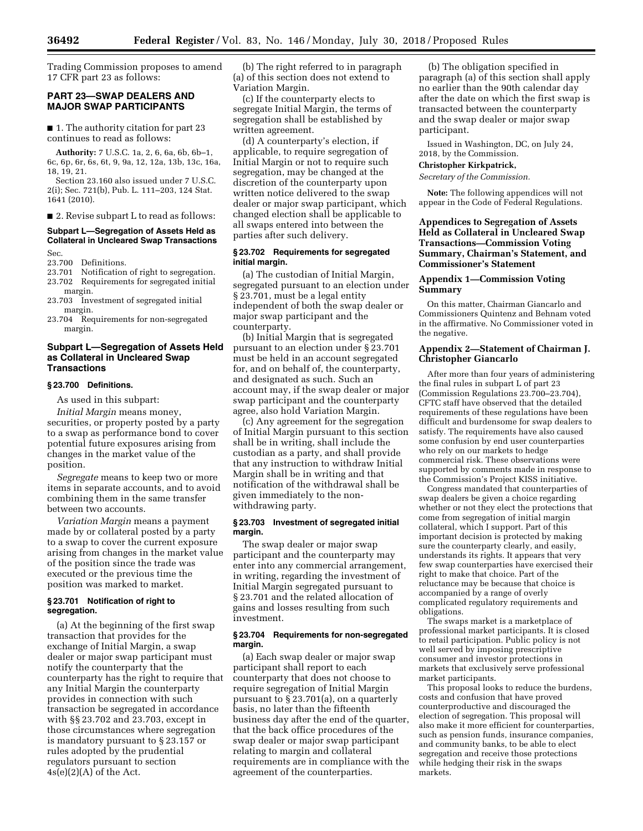Trading Commission proposes to amend 17 CFR part 23 as follows:

## **PART 23—SWAP DEALERS AND MAJOR SWAP PARTICIPANTS**

■ 1. The authority citation for part 23 continues to read as follows:

**Authority:** 7 U.S.C. 1a, 2, 6, 6a, 6b, 6b–1, 6c, 6p, 6r, 6s, 6t, 9, 9a, 12, 12a, 13b, 13c, 16a, 18, 19, 21.

Section 23.160 also issued under 7 U.S.C. 2(i); Sec. 721(b), Pub. L. 111–203, 124 Stat. 1641 (2010).

■ 2. Revise subpart L to read as follows:

#### **Subpart L—Segregation of Assets Held as Collateral in Uncleared Swap Transactions**  Sec.

- 23.700 Definitions.<br>23.701 Notification 23.701 Notification of right to segregation.<br>23.702 Requirements for segregated initial Requirements for segregated initial
- margin. 23.703 Investment of segregated initial
- margin.
- 23.704 Requirements for non-segregated margin.

### **Subpart L—Segregation of Assets Held as Collateral in Uncleared Swap Transactions**

## **§ 23.700 Definitions.**

As used in this subpart:

*Initial Margin* means money, securities, or property posted by a party to a swap as performance bond to cover potential future exposures arising from changes in the market value of the position.

*Segregate* means to keep two or more items in separate accounts, and to avoid combining them in the same transfer between two accounts.

*Variation Margin* means a payment made by or collateral posted by a party to a swap to cover the current exposure arising from changes in the market value of the position since the trade was executed or the previous time the position was marked to market.

### **§ 23.701 Notification of right to segregation.**

(a) At the beginning of the first swap transaction that provides for the exchange of Initial Margin, a swap dealer or major swap participant must notify the counterparty that the counterparty has the right to require that any Initial Margin the counterparty provides in connection with such transaction be segregated in accordance with §§ 23.702 and 23.703, except in those circumstances where segregation is mandatory pursuant to § 23.157 or rules adopted by the prudential regulators pursuant to section  $4s(e)(2)(A)$  of the Act.

(b) The right referred to in paragraph (a) of this section does not extend to Variation Margin.

(c) If the counterparty elects to segregate Initial Margin, the terms of segregation shall be established by written agreement.

(d) A counterparty's election, if applicable, to require segregation of Initial Margin or not to require such segregation, may be changed at the discretion of the counterparty upon written notice delivered to the swap dealer or major swap participant, which changed election shall be applicable to all swaps entered into between the parties after such delivery.

### **§ 23.702 Requirements for segregated initial margin.**

(a) The custodian of Initial Margin, segregated pursuant to an election under § 23.701, must be a legal entity independent of both the swap dealer or major swap participant and the counterparty.

(b) Initial Margin that is segregated pursuant to an election under § 23.701 must be held in an account segregated for, and on behalf of, the counterparty, and designated as such. Such an account may, if the swap dealer or major swap participant and the counterparty agree, also hold Variation Margin.

(c) Any agreement for the segregation of Initial Margin pursuant to this section shall be in writing, shall include the custodian as a party, and shall provide that any instruction to withdraw Initial Margin shall be in writing and that notification of the withdrawal shall be given immediately to the nonwithdrawing party.

#### **§ 23.703 Investment of segregated initial margin.**

The swap dealer or major swap participant and the counterparty may enter into any commercial arrangement, in writing, regarding the investment of Initial Margin segregated pursuant to § 23.701 and the related allocation of gains and losses resulting from such investment.

### **§ 23.704 Requirements for non-segregated margin.**

(a) Each swap dealer or major swap participant shall report to each counterparty that does not choose to require segregation of Initial Margin pursuant to § 23.701(a), on a quarterly basis, no later than the fifteenth business day after the end of the quarter, that the back office procedures of the swap dealer or major swap participant relating to margin and collateral requirements are in compliance with the agreement of the counterparties.

(b) The obligation specified in paragraph (a) of this section shall apply no earlier than the 90th calendar day after the date on which the first swap is transacted between the counterparty and the swap dealer or major swap participant.

Issued in Washington, DC, on July 24, 2018, by the Commission.

### **Christopher Kirkpatrick,**

*Secretary of the Commission.* 

**Note:** The following appendices will not appear in the Code of Federal Regulations.

## **Appendices to Segregation of Assets Held as Collateral in Uncleared Swap Transactions—Commission Voting Summary, Chairman's Statement, and Commissioner's Statement**

## **Appendix 1—Commission Voting Summary**

On this matter, Chairman Giancarlo and Commissioners Quintenz and Behnam voted in the affirmative. No Commissioner voted in the negative.

### **Appendix 2—Statement of Chairman J. Christopher Giancarlo**

After more than four years of administering the final rules in subpart L of part 23 (Commission Regulations 23.700–23.704), CFTC staff have observed that the detailed requirements of these regulations have been difficult and burdensome for swap dealers to satisfy. The requirements have also caused some confusion by end user counterparties who rely on our markets to hedge commercial risk. These observations were supported by comments made in response to the Commission's Project KISS initiative.

Congress mandated that counterparties of swap dealers be given a choice regarding whether or not they elect the protections that come from segregation of initial margin collateral, which I support. Part of this important decision is protected by making sure the counterparty clearly, and easily, understands its rights. It appears that very few swap counterparties have exercised their right to make that choice. Part of the reluctance may be because that choice is accompanied by a range of overly complicated regulatory requirements and obligations.

The swaps market is a marketplace of professional market participants. It is closed to retail participation. Public policy is not well served by imposing prescriptive consumer and investor protections in markets that exclusively serve professional market participants.

This proposal looks to reduce the burdens, costs and confusion that have proved counterproductive and discouraged the election of segregation. This proposal will also make it more efficient for counterparties, such as pension funds, insurance companies, and community banks, to be able to elect segregation and receive those protections while hedging their risk in the swaps markets.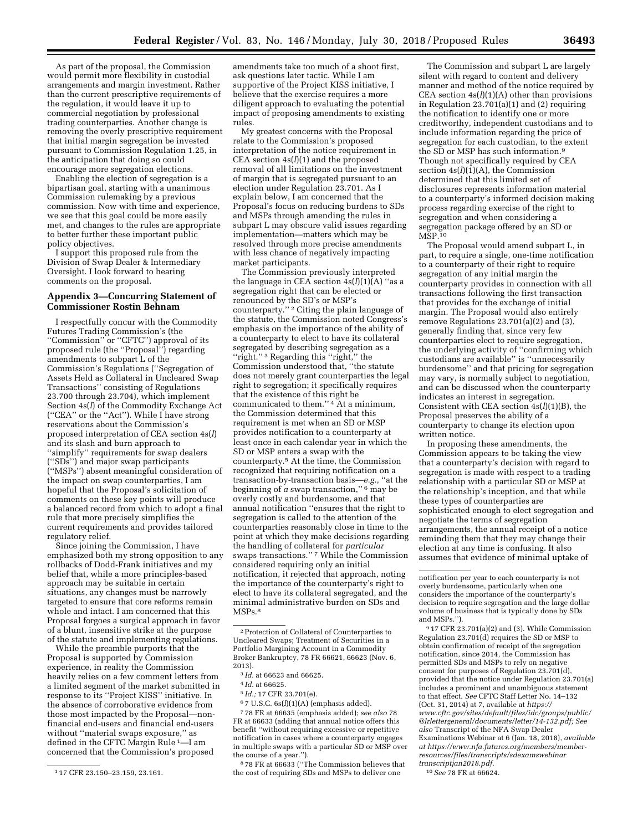As part of the proposal, the Commission would permit more flexibility in custodial arrangements and margin investment. Rather than the current prescriptive requirements of the regulation, it would leave it up to commercial negotiation by professional trading counterparties. Another change is removing the overly prescriptive requirement that initial margin segregation be invested pursuant to Commission Regulation 1.25, in the anticipation that doing so could encourage more segregation elections.

Enabling the election of segregation is a bipartisan goal, starting with a unanimous Commission rulemaking by a previous commission. Now with time and experience, we see that this goal could be more easily met, and changes to the rules are appropriate to better further these important public policy objectives.

I support this proposed rule from the Division of Swap Dealer & Intermediary Oversight. I look forward to hearing comments on the proposal.

### **Appendix 3—Concurring Statement of Commissioner Rostin Behnam**

I respectfully concur with the Commodity Futures Trading Commission's (the ''Commission'' or ''CFTC'') approval of its proposed rule (the ''Proposal'') regarding amendments to subpart L of the Commission's Regulations (''Segregation of Assets Held as Collateral in Uncleared Swap Transactions'' consisting of Regulations 23.700 through 23.704), which implement Section 4s(*l*) of the Commodity Exchange Act (''CEA'' or the ''Act''). While I have strong reservations about the Commission's proposed interpretation of CEA section 4s(*l*) and its slash and burn approach to ''simplify'' requirements for swap dealers (''SDs'') and major swap participants (''MSPs'') absent meaningful consideration of the impact on swap counterparties, I am hopeful that the Proposal's solicitation of comments on these key points will produce a balanced record from which to adopt a final rule that more precisely simplifies the current requirements and provides tailored regulatory relief.

Since joining the Commission, I have emphasized both my strong opposition to any rollbacks of Dodd-Frank initiatives and my belief that, while a more principles-based approach may be suitable in certain situations, any changes must be narrowly targeted to ensure that core reforms remain whole and intact. I am concerned that this Proposal forgoes a surgical approach in favor of a blunt, insensitive strike at the purpose of the statute and implementing regulations.

While the preamble purports that the Proposal is supported by Commission experience, in reality the Commission heavily relies on a few comment letters from a limited segment of the market submitted in response to its ''Project KISS'' initiative. In the absence of corroborative evidence from those most impacted by the Proposal—nonfinancial end-users and financial end-users without ''material swaps exposure,'' as defined in the CFTC Margin Rule 1—I am concerned that the Commission's proposed

amendments take too much of a shoot first, ask questions later tactic. While I am supportive of the Project KISS initiative, I believe that the exercise requires a more diligent approach to evaluating the potential impact of proposing amendments to existing rules.

My greatest concerns with the Proposal relate to the Commission's proposed interpretation of the notice requirement in CEA section 4s(*l*)(1) and the proposed removal of all limitations on the investment of margin that is segregated pursuant to an election under Regulation 23.701. As I explain below, I am concerned that the Proposal's focus on reducing burdens to SDs and MSPs through amending the rules in subpart L may obscure valid issues regarding implementation—matters which may be resolved through more precise amendments with less chance of negatively impacting market participants.

The Commission previously interpreted the language in CEA section  $4s(l)(1)(A)$  "as a segregation right that can be elected or renounced by the SD's or MSP's counterparty."<sup>2</sup> Citing the plain language of the statute, the Commission noted Congress's emphasis on the importance of the ability of a counterparty to elect to have its collateral segregated by describing segregation as a ''right.'' 3 Regarding this ''right,'' the Commission understood that, ''the statute does not merely grant counterparties the legal right to segregation; it specifically requires that the existence of this right be communicated to them.'' 4 At a minimum, the Commission determined that this requirement is met when an SD or MSP provides notification to a counterparty at least once in each calendar year in which the SD or MSP enters a swap with the counterparty.5 At the time, the Commission recognized that requiring notification on a transaction-by-transaction basis—*e.g.,* ''at the beginning of *a* swap transaction,'' 6 may be overly costly and burdensome, and that annual notification ''ensures that the right to segregation is called to the attention of the counterparties reasonably close in time to the point at which they make decisions regarding the handling of collateral for *particular*  swaps transactions."<sup>7</sup> While the Commission considered requiring only an initial notification, it rejected that approach, noting the importance of the counterparty's right to elect to have its collateral segregated, and the minimal administrative burden on SDs and MSPs.8

6 7 U.S.C. 6s(*l*)(1)(A) (emphasis added).

7 78 FR at 66635 (emphasis added); *see also* 78 FR at 66633 (adding that annual notice offers this benefit ''without requiring excessive or repetitive notification in cases where a counterparty engages in multiple swaps with a particular SD or MSP over the course of a year.'').

8 78 FR at 66633 (''The Commission believes that the cost of requiring SDs and MSPs to deliver one

The Commission and subpart L are largely silent with regard to content and delivery manner and method of the notice required by CEA section 4s(*l*)(1)(A) other than provisions in Regulation 23.701(a)(1) and (2) requiring the notification to identify one or more creditworthy, independent custodians and to include information regarding the price of segregation for each custodian, to the extent the SD or MSP has such information.9 Though not specifically required by CEA section  $4s(l)(1)(A)$ , the Commission determined that this limited set of disclosures represents information material to a counterparty's informed decision making process regarding exercise of the right to segregation and when considering a segregation package offered by an SD or  $M\ddot{\mathrm{S}}P^{10}$ 

The Proposal would amend subpart L, in part, to require a single, one-time notification to a counterparty of their right to require segregation of any initial margin the counterparty provides in connection with all transactions following the first transaction that provides for the exchange of initial margin. The Proposal would also entirely remove Regulations 23.701(a)(2) and (3), generally finding that, since very few counterparties elect to require segregation, the underlying activity of ''confirming which custodians are available'' is ''unnecessarily burdensome'' and that pricing for segregation may vary, is normally subject to negotiation, and can be discussed when the counterparty indicates an interest in segregation. Consistent with CEA section 4s(*l*)(1)(B), the Proposal preserves the ability of a counterparty to change its election upon written notice.

In proposing these amendments, the Commission appears to be taking the view that a counterparty's decision with regard to segregation is made with respect to a trading relationship with a particular SD or MSP at the relationship's inception, and that while these types of counterparties are sophisticated enough to elect segregation and negotiate the terms of segregation arrangements, the annual receipt of a notice reminding them that they may change their election at any time is confusing. It also assumes that evidence of minimal uptake of

notification per year to each counterparty is not overly burdensome, particularly when one considers the importance of the counterparty's decision to require segregation and the large dollar volume of business that is typically done by SDs and MSPs.'').

9 17 CFR 23.701(a)(2) and (3). While Commission Regulation 23.701(d) requires the SD or MSP to obtain confirmation of receipt of the segregation notification, since 2014, the Commission has permitted SDs and MSPs to rely on negative consent for purposes of Regulation 23.701(d), provided that the notice under Regulation 23.701(a) includes a prominent and unambiguous statement to that effect. *See* CFTC Staff Letter No. 14–132 (Oct. 31, 2014) at 7, available at *[https://](https://www.cftc.gov/sites/default/files/idc/groups/public/@lrlettergeneral/documents/letter/14-132.pdf) [www.cftc.gov/sites/default/files/idc/groups/public/](https://www.cftc.gov/sites/default/files/idc/groups/public/@lrlettergeneral/documents/letter/14-132.pdf)  [@lrlettergeneral/documents/letter/14-132.pdf;](https://www.cftc.gov/sites/default/files/idc/groups/public/@lrlettergeneral/documents/letter/14-132.pdf) See also* Transcript of the NFA Swap Dealer Examinations Webinar at 6 (Jan. 18, 2018), *available at [https://www.nfa.futures.org/members/member](https://www.nfa.futures.org/members/member-resources/files/transcripts/sdexamswebinartranscriptjan2018.pdf)[resources/files/transcripts/sdexamswebinar](https://www.nfa.futures.org/members/member-resources/files/transcripts/sdexamswebinartranscriptjan2018.pdf) [transcriptjan2018.pdf.](https://www.nfa.futures.org/members/member-resources/files/transcripts/sdexamswebinartranscriptjan2018.pdf)* 

10*See* 78 FR at 66624.

<sup>1</sup> 17 CFR 23.150–23.159, 23.161.

<sup>2</sup>Protection of Collateral of Counterparties to Uncleared Swaps; Treatment of Securities in a Portfolio Margining Account in a Commodity Broker Bankruptcy, 78 FR 66621, 66623 (Nov. 6, 2013).

<sup>3</sup> *Id.* at 66623 and 66625.

<sup>4</sup> *Id.* at 66625.

<sup>5</sup> *Id.;* 17 CFR 23.701(e).